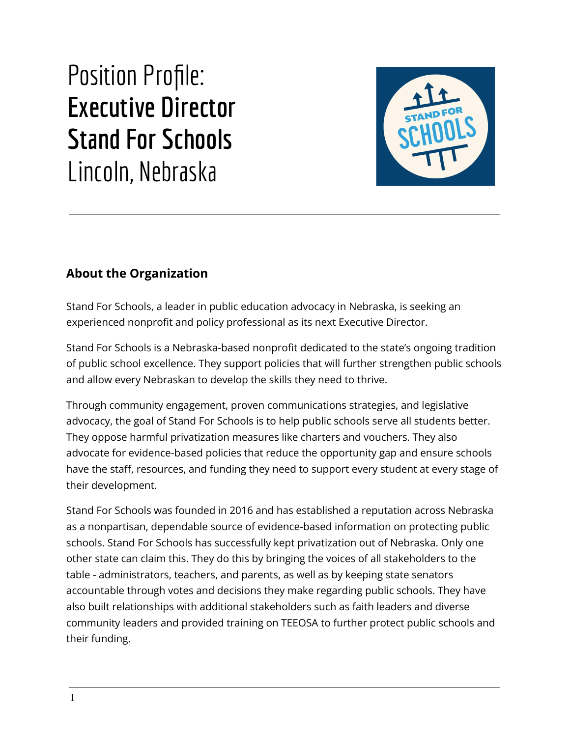# Position Profile: **Executive Director Stand For Schools** Lincoln, Nebraska



# **About the Organization**

Stand For Schools, a leader in public education advocacy in Nebraska, is seeking an experienced nonprofit and policy professional as its next Executive Director.

Stand For Schools is a Nebraska-based nonprofit dedicated to the state's ongoing tradition of public school excellence. They support policies that will further strengthen public schools and allow every Nebraskan to develop the skills they need to thrive.

Through community engagement, proven communications strategies, and legislative advocacy, the goal of Stand For Schools is to help public schools serve all students better. They oppose harmful privatization measures like charters and vouchers. They also advocate for evidence-based policies that reduce the opportunity gap and ensure schools have the staff, resources, and funding they need to support every student at every stage of their development.

Stand For Schools was founded in 2016 and has established a reputation across Nebraska as a nonpartisan, dependable source of evidence-based information on protecting public schools. Stand For Schools has successfully kept privatization out of Nebraska. Only one other state can claim this. They do this by bringing the voices of all stakeholders to the table - administrators, teachers, and parents, as well as by keeping state senators accountable through votes and decisions they make regarding public schools. They have also built relationships with additional stakeholders such as faith leaders and diverse community leaders and provided training on TEEOSA to further protect public schools and their funding.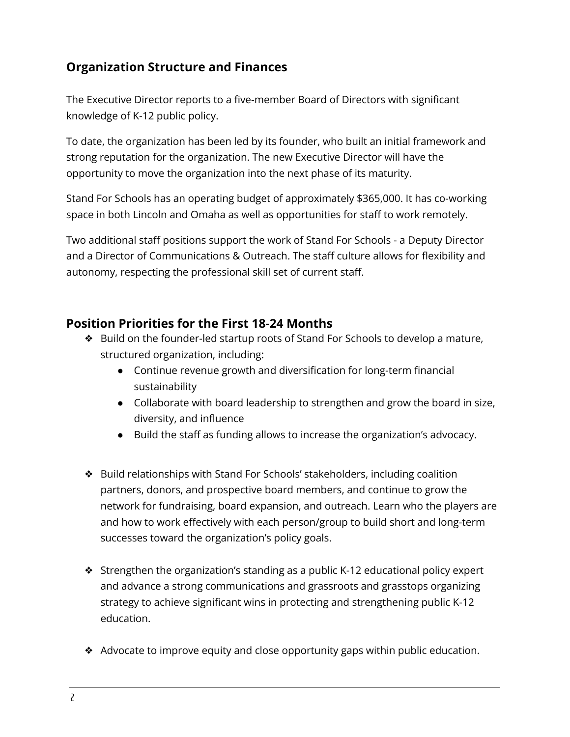## **Organization Structure and Finances**

The Executive Director reports to a five-member Board of Directors with significant knowledge of K-12 public policy.

To date, the organization has been led by its founder, who built an initial framework and strong reputation for the organization. The new Executive Director will have the opportunity to move the organization into the next phase of its maturity.

Stand For Schools has an operating budget of approximately \$365,000. It has co-working space in both Lincoln and Omaha as well as opportunities for staff to work remotely.

Two additional staff positions support the work of Stand For Schools - a Deputy Director and a Director of Communications & Outreach. The staff culture allows for flexibility and autonomy, respecting the professional skill set of current staff.

#### **Position Priorities for the First 18-24 Months**

- ❖ Build on the founder-led startup roots of Stand For Schools to develop a mature, structured organization, including:
	- Continue revenue growth and diversification for long-term financial sustainability
	- Collaborate with board leadership to strengthen and grow the board in size, diversity, and influence
	- Build the staff as funding allows to increase the organization's advocacy.
- ❖ Build relationships with Stand For Schools' stakeholders, including coalition partners, donors, and prospective board members, and continue to grow the network for fundraising, board expansion, and outreach. Learn who the players are and how to work effectively with each person/group to build short and long-term successes toward the organization's policy goals.
- ❖ Strengthen the organization's standing as a public K-12 educational policy expert and advance a strong communications and grassroots and grasstops organizing strategy to achieve significant wins in protecting and strengthening public K-12 education.
- ❖ Advocate to improve equity and close opportunity gaps within public education.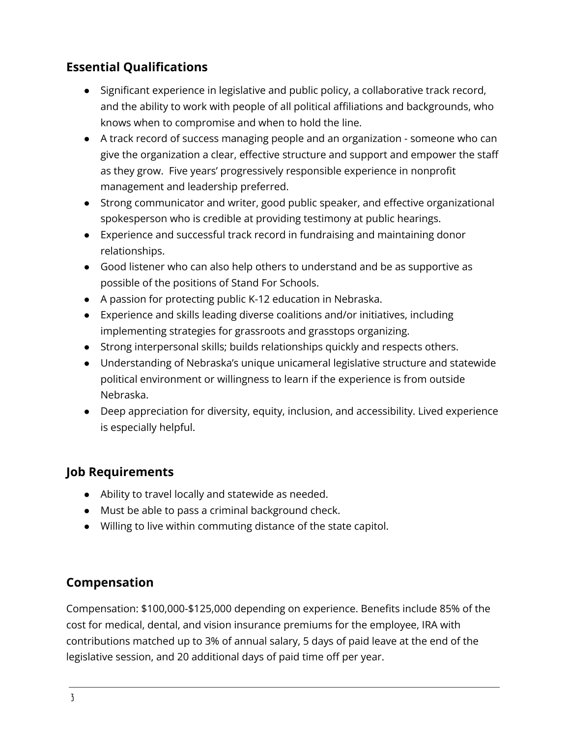# **Essential Qualifications**

- Significant experience in legislative and public policy, a collaborative track record, and the ability to work with people of all political affiliations and backgrounds, who knows when to compromise and when to hold the line.
- A track record of success managing people and an organization someone who can give the organization a clear, effective structure and support and empower the staff as they grow. Five years' progressively responsible experience in nonprofit management and leadership preferred.
- Strong communicator and writer, good public speaker, and effective organizational spokesperson who is credible at providing testimony at public hearings.
- Experience and successful track record in fundraising and maintaining donor relationships.
- Good listener who can also help others to understand and be as supportive as possible of the positions of Stand For Schools.
- A passion for protecting public K-12 education in Nebraska.
- Experience and skills leading diverse coalitions and/or initiatives, including implementing strategies for grassroots and grasstops organizing.
- Strong interpersonal skills; builds relationships quickly and respects others.
- Understanding of Nebraska's unique unicameral legislative structure and statewide political environment or willingness to learn if the experience is from outside Nebraska.
- Deep appreciation for diversity, equity, inclusion, and accessibility. Lived experience is especially helpful.

## **Job Requirements**

- Ability to travel locally and statewide as needed.
- Must be able to pass a criminal background check.
- Willing to live within commuting distance of the state capitol.

## **Compensation**

Compensation: \$100,000-\$125,000 depending on experience. Benefits include 85% of the cost for medical, dental, and vision insurance premiums for the employee, IRA with contributions matched up to 3% of annual salary, 5 days of paid leave at the end of the legislative session, and 20 additional days of paid time off per year.